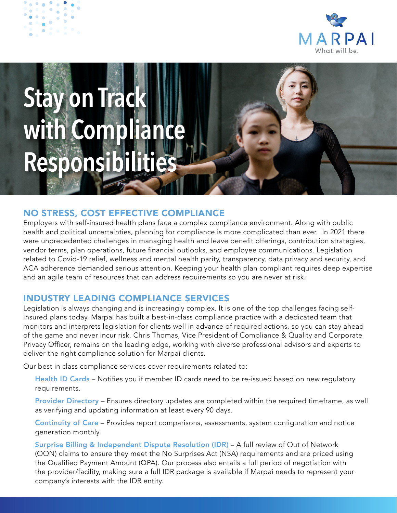

# **Stay on Track with Compliance Responsibil**

## NO STRESS, COST EFFECTIVE COMPLIANCE

Employers with self-insured health plans face a complex compliance environment. Along with public health and political uncertainties, planning for compliance is more complicated than ever. In 2021 there were unprecedented challenges in managing health and leave benefit offerings, contribution strategies, vendor terms, plan operations, future financial outlooks, and employee communications. Legislation related to Covid-19 relief, wellness and mental health parity, transparency, data privacy and security, and ACA adherence demanded serious attention. Keeping your health plan compliant requires deep expertise and an agile team of resources that can address requirements so you are never at risk.

### INDUSTRY LEADING COMPLIANCE SERVICES

Legislation is always changing and is increasingly complex. It is one of the top challenges facing selfinsured plans today. Marpai has built a best-in-class compliance practice with a dedicated team that monitors and interprets legislation for clients well in advance of required actions, so you can stay ahead of the game and never incur risk. Chris Thomas, Vice President of Compliance & Quality and Corporate Privacy Officer, remains on the leading edge, working with diverse professional advisors and experts to deliver the right compliance solution for Marpai clients.

Our best in class compliance services cover requirements related to:

Health ID Cards - Notifies you if member ID cards need to be re-issued based on new regulatory requirements.

Provider Directory – Ensures directory updates are completed within the required timeframe, as well as verifying and updating information at least every 90 days.

Continuity of Care – Provides report comparisons, assessments, system configuration and notice generation monthly.

Surprise Billing & Independent Dispute Resolution (IDR) – A full review of Out of Network (OON) claims to ensure they meet the No Surprises Act (NSA) requirements and are priced using the Qualified Payment Amount (QPA). Our process also entails a full period of negotiation with the provider/facility, making sure a full IDR package is available if Marpai needs to represent your company's interests with the IDR entity.